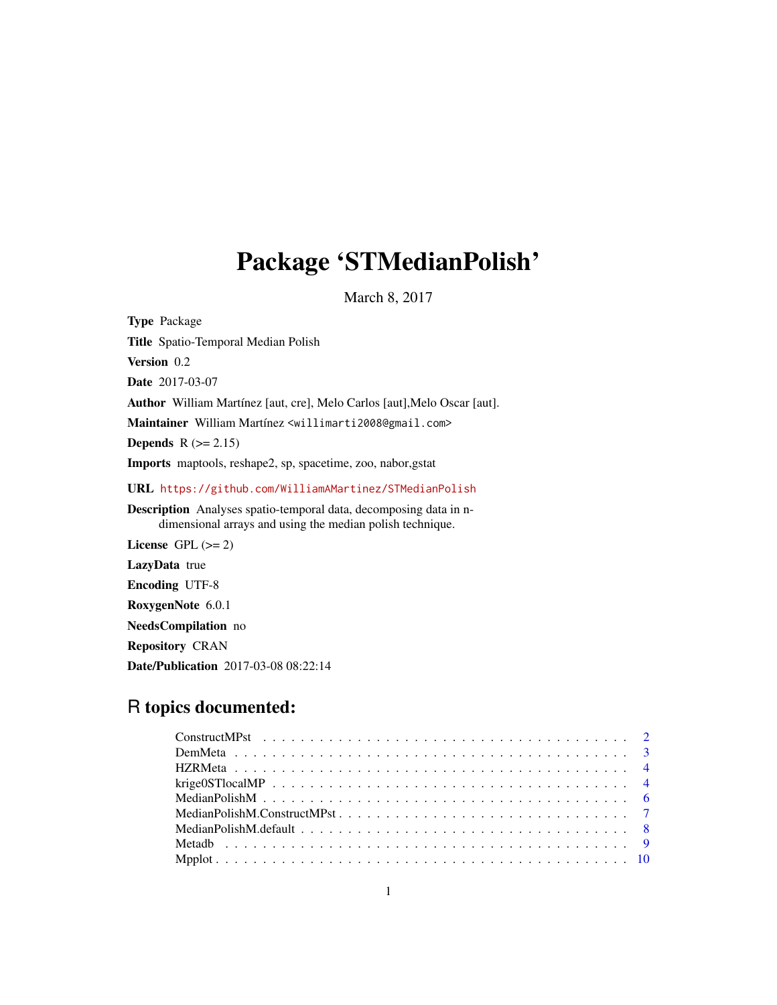# Package 'STMedianPolish'

March 8, 2017

Type Package Title Spatio-Temporal Median Polish Version 0.2 Date 2017-03-07 Author William Martínez [aut, cre], Melo Carlos [aut],Melo Oscar [aut]. Maintainer William Martínez <willimarti2008@gmail.com> Depends  $R (= 2.15)$ Imports maptools, reshape2, sp, spacetime, zoo, nabor,gstat URL <https://github.com/WilliamAMartinez/STMedianPolish> Description Analyses spatio-temporal data, decomposing data in ndimensional arrays and using the median polish technique. License GPL  $(>= 2)$ LazyData true Encoding UTF-8 RoxygenNote 6.0.1 NeedsCompilation no

Repository CRAN

Date/Publication 2017-03-08 08:22:14

# R topics documented:

| krige OST local MP $\ldots \ldots \ldots \ldots \ldots \ldots \ldots \ldots \ldots \ldots \ldots \ldots \ldots$ |
|-----------------------------------------------------------------------------------------------------------------|
|                                                                                                                 |
|                                                                                                                 |
|                                                                                                                 |
|                                                                                                                 |
|                                                                                                                 |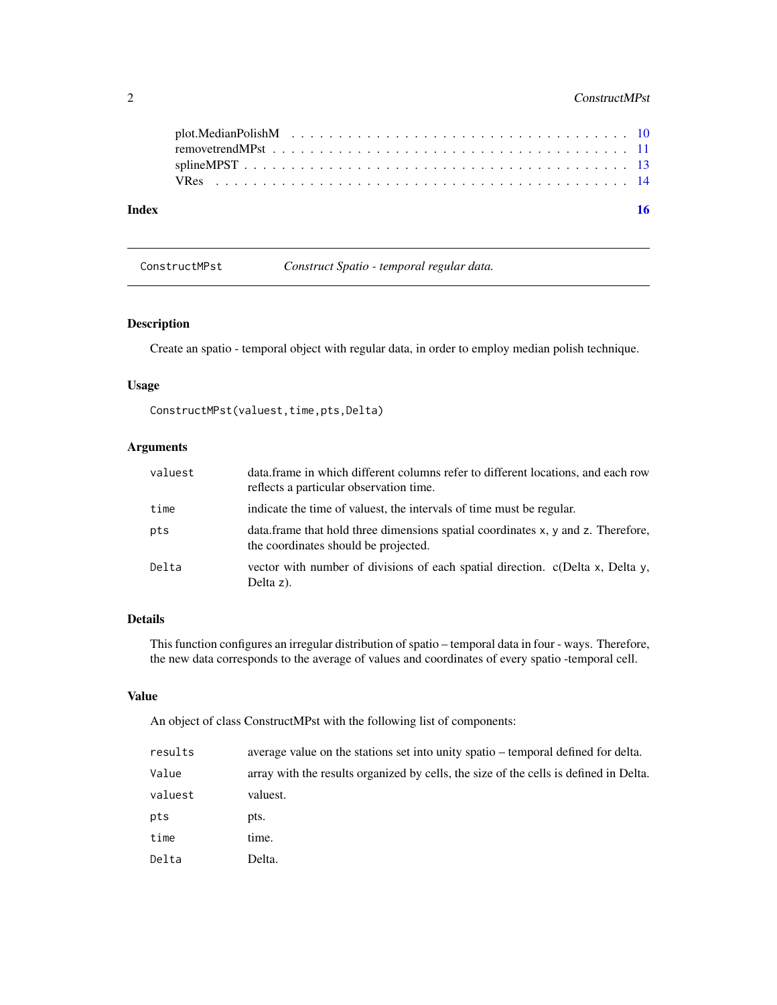# <span id="page-1-0"></span>2 ConstructMPst

| Index | 16 |
|-------|----|
|       |    |
|       |    |
|       |    |
|       |    |

<span id="page-1-1"></span>ConstructMPst *Construct Spatio - temporal regular data.*

# Description

Create an spatio - temporal object with regular data, in order to employ median polish technique.

# Usage

```
ConstructMPst(valuest,time,pts,Delta)
```
# Arguments

| valuest | data.frame in which different columns refer to different locations, and each row<br>reflects a particular observation time. |
|---------|-----------------------------------------------------------------------------------------------------------------------------|
| time    | indicate the time of valuest, the intervals of time must be regular.                                                        |
| pts     | data frame that hold three dimensions spatial coordinates x, y and z. Therefore,<br>the coordinates should be projected.    |
| Delta   | vector with number of divisions of each spatial direction. c(Delta x, Delta y,<br>Delta z).                                 |

# Details

This function configures an irregular distribution of spatio – temporal data in four - ways. Therefore, the new data corresponds to the average of values and coordinates of every spatio -temporal cell.

#### Value

An object of class ConstructMPst with the following list of components:

| results | average value on the stations set into unity spatio – temporal defined for delta.     |
|---------|---------------------------------------------------------------------------------------|
| Value   | array with the results organized by cells, the size of the cells is defined in Delta. |
| valuest | valuest.                                                                              |
| pts     | pts.                                                                                  |
| time    | time.                                                                                 |
| Delta   | Delta.                                                                                |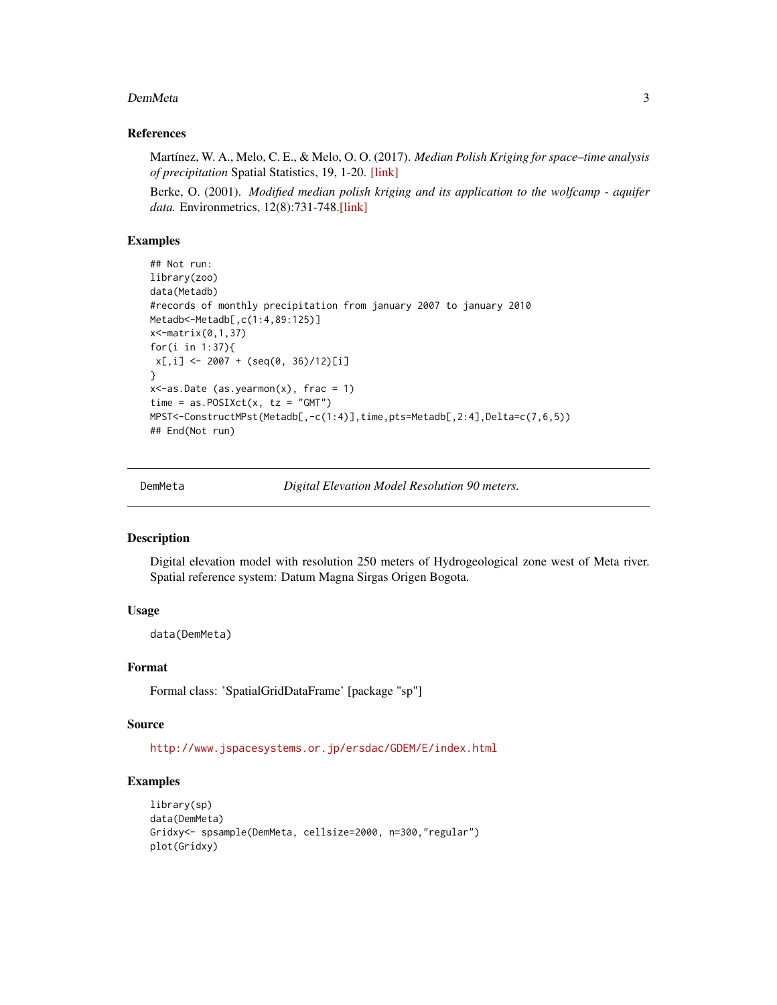#### <span id="page-2-0"></span>DemMeta 3

# References

Martínez, W. A., Melo, C. E., & Melo, O. O. (2017). *Median Polish Kriging for space–time analysis of precipitation* Spatial Statistics, 19, 1-20. [\[link\]](http://www.sciencedirect.com/science/article/pii/S2211675316301336)

Berke, O. (2001). *Modified median polish kriging and its application to the wolfcamp - aquifer data.* Environmetrics, 12(8):731-748[.\[link\]](http://onlinelibrary.wiley.com/doi/10.1002/env.495/abstract)

#### Examples

```
## Not run:
library(zoo)
data(Metadb)
#records of monthly precipitation from january 2007 to january 2010
Metadb<-Metadb[,c(1:4,89:125)]
x<-matrix(0,1,37)
for(i in 1:37){
x[,i] <- 2007 + (seq(0, 36)/12)[i]
}
x <-as.Date (as.yearmon(x), frac = 1)
time = as.POSIXct(x, tz = "GMT")MPST<-ConstructMPst(Metadb[,-c(1:4)],time,pts=Metadb[,2:4],Delta=c(7,6,5))
## End(Not run)
```
DemMeta *Digital Elevation Model Resolution 90 meters.*

# Description

Digital elevation model with resolution 250 meters of Hydrogeological zone west of Meta river. Spatial reference system: Datum Magna Sirgas Origen Bogota.

# Usage

data(DemMeta)

# Format

Formal class: 'SpatialGridDataFrame' [package "sp"]

# Source

<http://www.jspacesystems.or.jp/ersdac/GDEM/E/index.html>

```
library(sp)
data(DemMeta)
Gridxy<- spsample(DemMeta, cellsize=2000, n=300,"regular")
plot(Gridxy)
```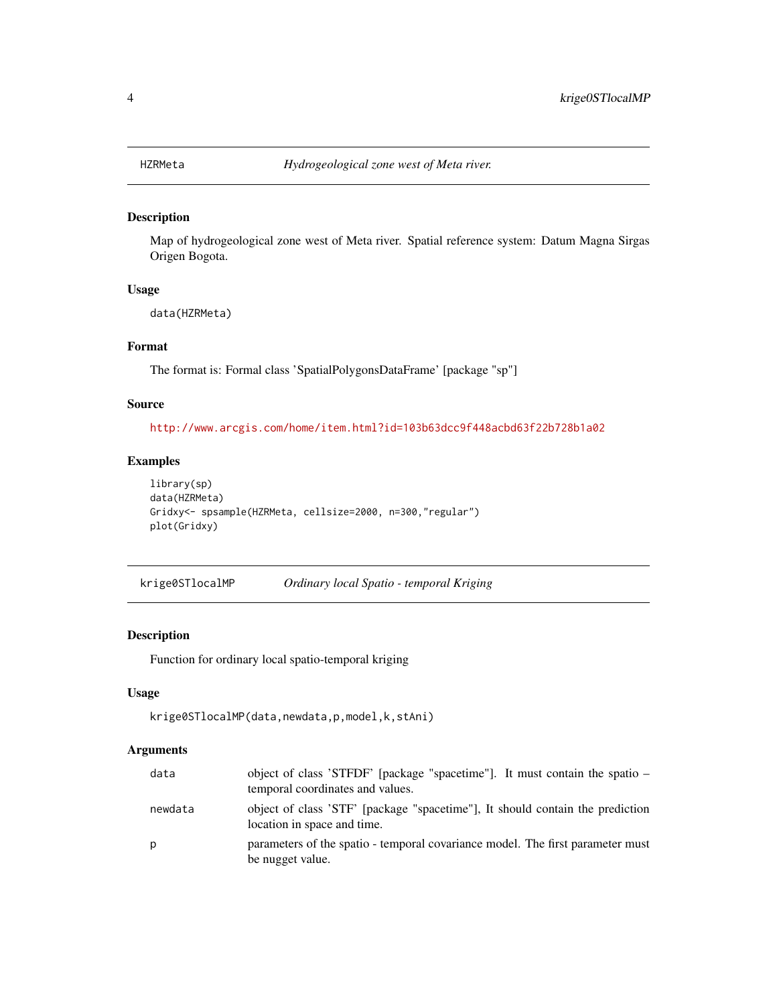<span id="page-3-0"></span>

# Description

Map of hydrogeological zone west of Meta river. Spatial reference system: Datum Magna Sirgas Origen Bogota.

# Usage

data(HZRMeta)

# Format

The format is: Formal class 'SpatialPolygonsDataFrame' [package "sp"]

# Source

<http://www.arcgis.com/home/item.html?id=103b63dcc9f448acbd63f22b728b1a02>

# Examples

```
library(sp)
data(HZRMeta)
Gridxy<- spsample(HZRMeta, cellsize=2000, n=300,"regular")
plot(Gridxy)
```
krige0STlocalMP *Ordinary local Spatio - temporal Kriging*

# Description

Function for ordinary local spatio-temporal kriging

# Usage

```
krige0STlocalMP(data,newdata,p,model,k,stAni)
```
# Arguments

| data    | object of class 'STFDF' [package "spacetime"]. It must contain the spatio $-$<br>temporal coordinates and values. |
|---------|-------------------------------------------------------------------------------------------------------------------|
| newdata | object of class 'STF' [package "spacetime"], It should contain the prediction<br>location in space and time.      |
| Ŋ       | parameters of the spatio - temporal covariance model. The first parameter must<br>be nugget value.                |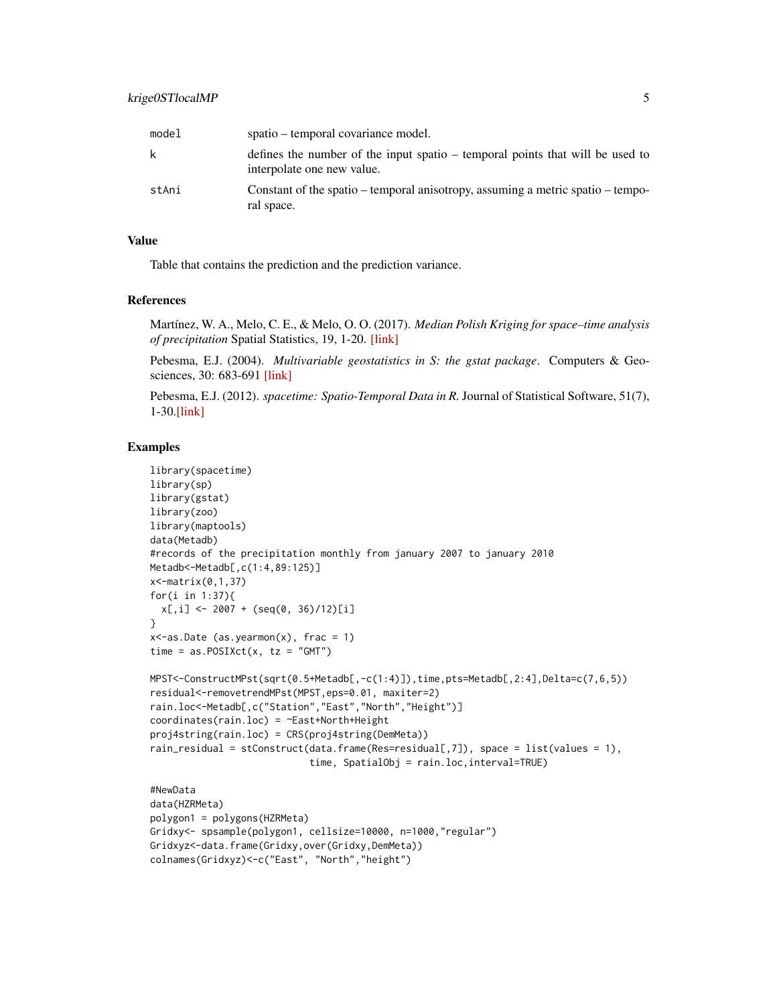| model | spatio – temporal covariance model.                                                                         |
|-------|-------------------------------------------------------------------------------------------------------------|
| k     | defines the number of the input spatio – temporal points that will be used to<br>interpolate one new value. |
| stAni | Constant of the spatio – temporal anisotropy, assuming a metric spatio – tempo-<br>ral space.               |

# Value

Table that contains the prediction and the prediction variance.

# References

Martínez, W. A., Melo, C. E., & Melo, O. O. (2017). *Median Polish Kriging for space–time analysis of precipitation* Spatial Statistics, 19, 1-20. [\[link\]](http://www.sciencedirect.com/science/article/pii/S2211675316301336)

Pebesma, E.J. (2004). *Multivariable geostatistics in S: the gstat package*. Computers & Geosciences, 30: 683-691 [\[link\]](https://CRAN.R-project.org/package=gstat)

Pebesma, E.J. (2012). *spacetime: Spatio-Temporal Data in R.* Journal of Statistical Software, 51(7), 1-30[.\[link\]](https://CRAN.R-project.org/package=spacetime)

```
library(spacetime)
library(sp)
library(gstat)
library(zoo)
library(maptools)
data(Metadb)
#records of the precipitation monthly from january 2007 to january 2010
Metadb<-Metadb[,c(1:4,89:125)]
x<-matrix(0,1,37)
for(i in 1:37){
  x[,i] <- 2007 + (seq(0, 36)/12)[i]
}
x <-as.Date (as.yearmon(x), frac = 1)
time = as.POSIXct(x, tz = "GMT")MPST<-ConstructMPst(sqrt(0.5+Metadb[,-c(1:4)]),time,pts=Metadb[,2:4],Delta=c(7,6,5))
residual<-removetrendMPst(MPST,eps=0.01, maxiter=2)
rain.loc<-Metadb[,c("Station","East","North","Height")]
coordinates(rain.loc) = ~East+North+Height
proj4string(rain.loc) = CRS(proj4string(DemMeta))
rain_residual = stConstruct(data.frame(Res=residual[,7]), space = list(values = 1),
                            time, SpatialObj = rain.loc,interval=TRUE)
#NewData
data(HZRMeta)
polygon1 = polygons(HZRMeta)
Gridxy<- spsample(polygon1, cellsize=10000, n=1000,"regular")
Gridxyz<-data.frame(Gridxy,over(Gridxy,DemMeta))
colnames(Gridxyz)<-c("East", "North","height")
```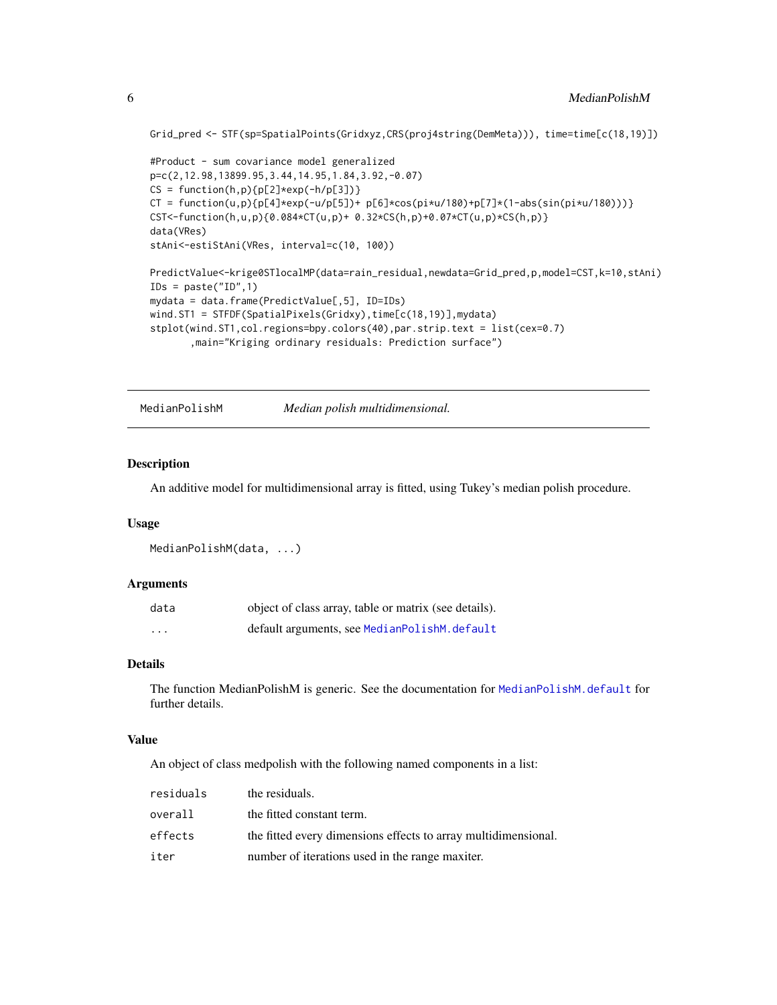Grid\_pred <- STF(sp=SpatialPoints(Gridxyz,CRS(proj4string(DemMeta))), time=time[c(18,19)])

```
#Product - sum covariance model generalized
p=c(2,12.98,13899.95,3.44,14.95,1.84,3.92,-0.07)
CS = function(h, p){p[2] \cdot exp(-h/p[3])}CT = function(u,p){p[4]\times exp(-u/p[5])} + p[6]\times cos(pi \times u/180) + p[7]\times (1-abs(sin(pi \times u/180))))}CST<-function(h,u,p){0.084*CT(u,p)+ 0.32*CS(h,p)+0.07*CT(u,p)*CS(h,p)}
data(VRes)
stAni<-estiStAni(VRes, interval=c(10, 100))
PredictValue<-krige0STlocalMP(data=rain_residual,newdata=Grid_pred,p,model=CST,k=10,stAni)
IDS = paste("ID", 1)mydata = data.frame(PredictValue[,5], ID=IDs)
wind.ST1 = STFDF(SpatialPixels(Gridxy),time[c(18,19)],mydata)
stplot(wind.ST1,col.regions=bpy.colors(40),par.strip.text = list(cex=0.7)
       ,main="Kriging ordinary residuals: Prediction surface")
```
MedianPolishM *Median polish multidimensional.*

# Description

An additive model for multidimensional array is fitted, using Tukey's median polish procedure.

# Usage

```
MedianPolishM(data, ...)
```
#### Arguments

| data     | object of class array, table or matrix (see details). |
|----------|-------------------------------------------------------|
| $\cdots$ | default arguments, see MedianPolishM.default          |

# Details

The function MedianPolishM is generic. See the documentation for [MedianPolishM.default](#page-7-1) for further details.

#### Value

An object of class medpolish with the following named components in a list:

| residuals | the residuals.                                                 |
|-----------|----------------------------------------------------------------|
| overall   | the fitted constant term.                                      |
| effects   | the fitted every dimensions effects to array multidimensional. |
| iter      | number of iterations used in the range maxiter.                |

<span id="page-5-0"></span>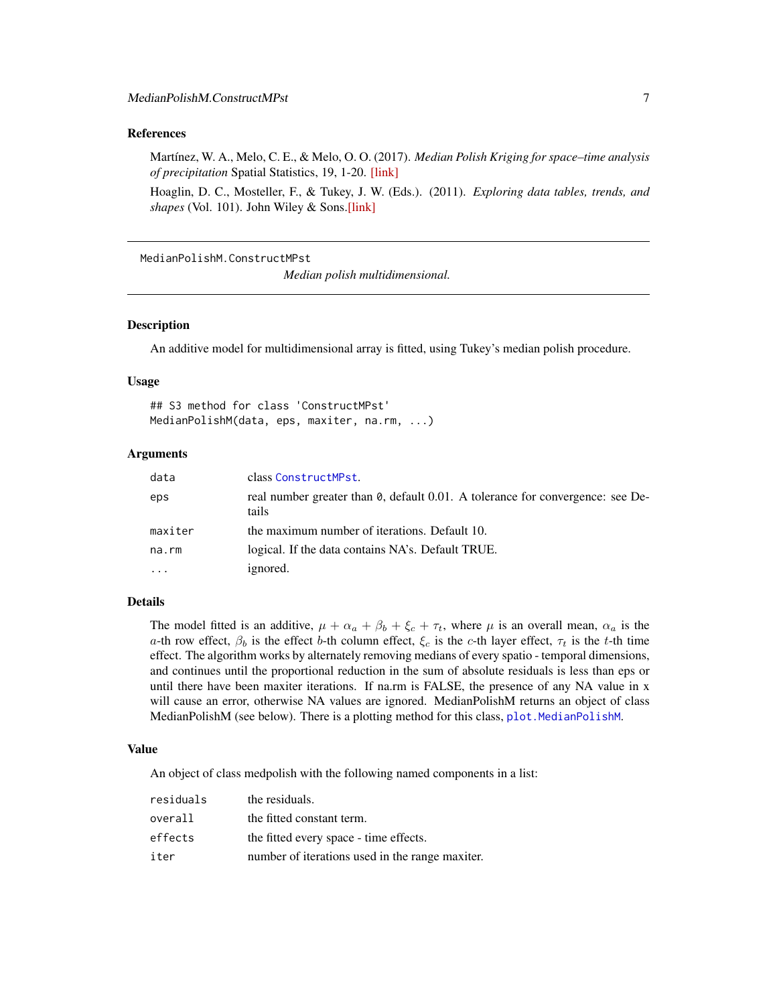# <span id="page-6-0"></span>References

Martínez, W. A., Melo, C. E., & Melo, O. O. (2017). *Median Polish Kriging for space–time analysis of precipitation* Spatial Statistics, 19, 1-20. [\[link\]](http://www.sciencedirect.com/science/article/pii/S2211675316301336)

Hoaglin, D. C., Mosteller, F., & Tukey, J. W. (Eds.). (2011). *Exploring data tables, trends, and shapes* (Vol. 101). John Wiley & Sons[.\[link\]](http://www.wiley.com/WileyCDA/WileyTitle/productCd-047004005X.html)

MedianPolishM.ConstructMPst

*Median polish multidimensional.*

# Description

An additive model for multidimensional array is fitted, using Tukey's median polish procedure.

#### Usage

## S3 method for class 'ConstructMPst' MedianPolishM(data, eps, maxiter, na.rm, ...)

# Arguments

| data    | class ConstructMPst.                                                                    |
|---------|-----------------------------------------------------------------------------------------|
| eps     | real number greater than 0, default 0.01. A tolerance for convergence: see De-<br>tails |
| maxiter | the maximum number of iterations. Default 10.                                           |
| na.rm   | logical. If the data contains NA's. Default TRUE.                                       |
|         | ignored.                                                                                |

# Details

The model fitted is an additive,  $\mu + \alpha_a + \beta_b + \xi_c + \tau_t$ , where  $\mu$  is an overall mean,  $\alpha_a$  is the a-th row effect,  $\beta_b$  is the effect b-th column effect,  $\xi_c$  is the c-th layer effect,  $\tau_t$  is the t-th time effect. The algorithm works by alternately removing medians of every spatio - temporal dimensions, and continues until the proportional reduction in the sum of absolute residuals is less than eps or until there have been maxiter iterations. If na.rm is FALSE, the presence of any NA value in x will cause an error, otherwise NA values are ignored. MedianPolishM returns an object of class MedianPolishM (see below). There is a plotting method for this class, plot. MedianPolishM.

## Value

An object of class medpolish with the following named components in a list:

| residuals | the residuals.                                  |
|-----------|-------------------------------------------------|
| overall   | the fitted constant term.                       |
| effects   | the fitted every space - time effects.          |
| iter      | number of iterations used in the range maxiter. |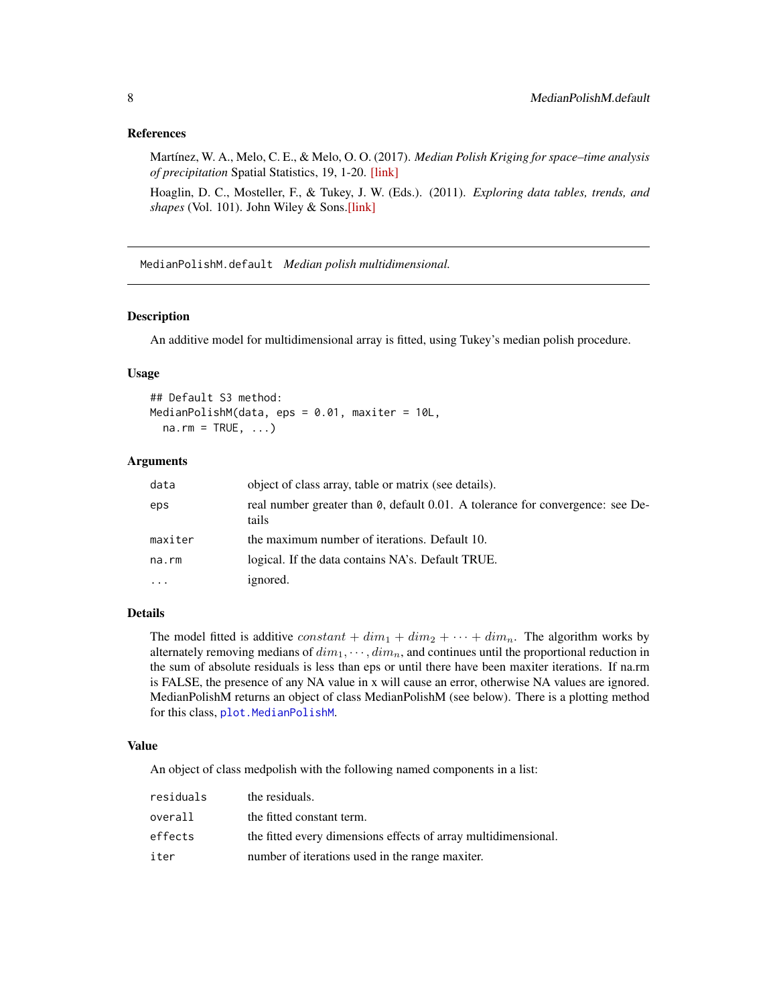# <span id="page-7-0"></span>References

Martínez, W. A., Melo, C. E., & Melo, O. O. (2017). *Median Polish Kriging for space–time analysis of precipitation* Spatial Statistics, 19, 1-20. [\[link\]](http://www.sciencedirect.com/science/article/pii/S2211675316301336)

Hoaglin, D. C., Mosteller, F., & Tukey, J. W. (Eds.). (2011). *Exploring data tables, trends, and shapes* (Vol. 101). John Wiley & Sons[.\[link\]](http://www.wiley.com/WileyCDA/WileyTitle/productCd-047004005X.html)

<span id="page-7-1"></span>MedianPolishM.default *Median polish multidimensional.*

# Description

An additive model for multidimensional array is fitted, using Tukey's median polish procedure.

#### Usage

## Default S3 method: MedianPolishM(data, eps = 0.01, maxiter = 10L,  $na.rm = TRUE, ...$ 

# Arguments

| data     | object of class array, table or matrix (see details).                                   |
|----------|-----------------------------------------------------------------------------------------|
| eps      | real number greater than 0, default 0.01. A tolerance for convergence: see De-<br>tails |
| maxiter  | the maximum number of iterations. Default 10.                                           |
| na.rm    | logical. If the data contains NA's. Default TRUE.                                       |
| $\cdots$ | ignored.                                                                                |

# Details

The model fitted is additive constant  $+ dim_1 + dim_2 + \cdots + dim_n$ . The algorithm works by alternately removing medians of  $dim_1, \cdots, dim_n$ , and continues until the proportional reduction in the sum of absolute residuals is less than eps or until there have been maxiter iterations. If na.rm is FALSE, the presence of any NA value in x will cause an error, otherwise NA values are ignored. MedianPolishM returns an object of class MedianPolishM (see below). There is a plotting method for this class, [plot.MedianPolishM](#page-9-1).

# Value

An object of class medpolish with the following named components in a list:

| residuals | the residuals.                                                 |
|-----------|----------------------------------------------------------------|
| overall   | the fitted constant term.                                      |
| effects   | the fitted every dimensions effects of array multidimensional. |
| iter      | number of iterations used in the range maxiter.                |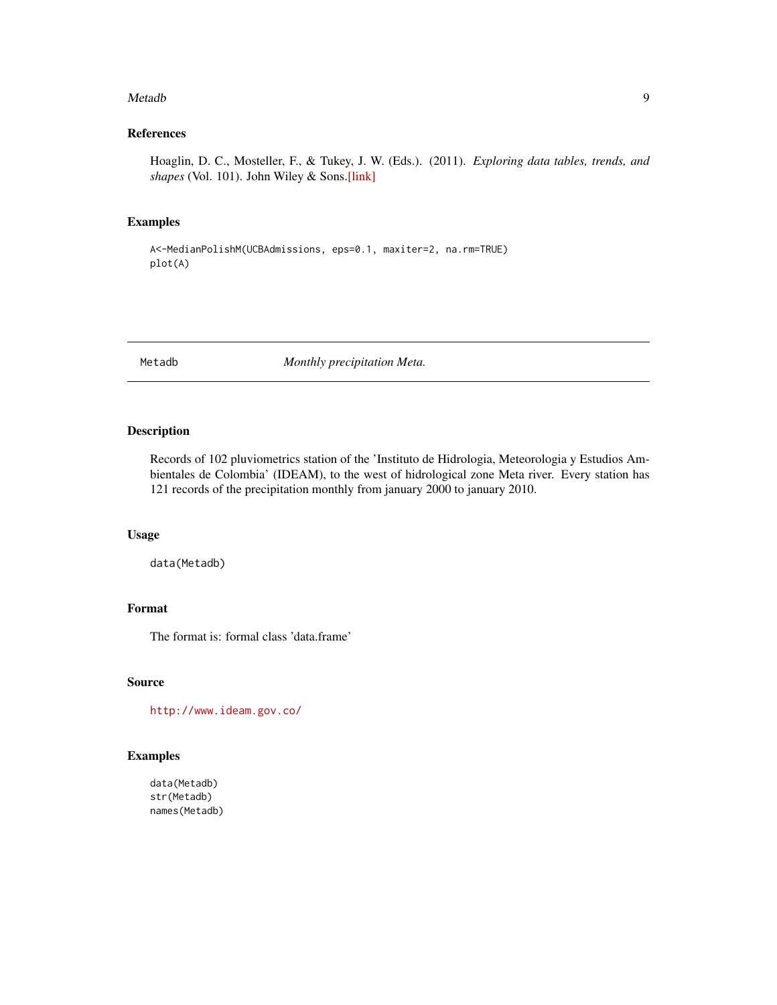#### <span id="page-8-0"></span>Metadb 9

# References

Hoaglin, D. C., Mosteller, F., & Tukey, J. W. (Eds.). (2011). *Exploring data tables, trends, and shapes* (Vol. 101). John Wiley & Sons[.\[link\]](http://www.wiley.com/WileyCDA/WileyTitle/productCd-047004005X.html)

# Examples

```
A<-MedianPolishM(UCBAdmissions, eps=0.1, maxiter=2, na.rm=TRUE)
plot(A)
```
<span id="page-8-1"></span>Metadb *Monthly precipitation Meta.*

# Description

Records of 102 pluviometrics station of the 'Instituto de Hidrologia, Meteorologia y Estudios Ambientales de Colombia' (IDEAM), to the west of hidrological zone Meta river. Every station has 121 records of the precipitation monthly from january 2000 to january 2010.

# Usage

data(Metadb)

# Format

The format is: formal class 'data.frame'

#### Source

<http://www.ideam.gov.co/>

#### Examples

data(Metadb) str(Metadb) names(Metadb)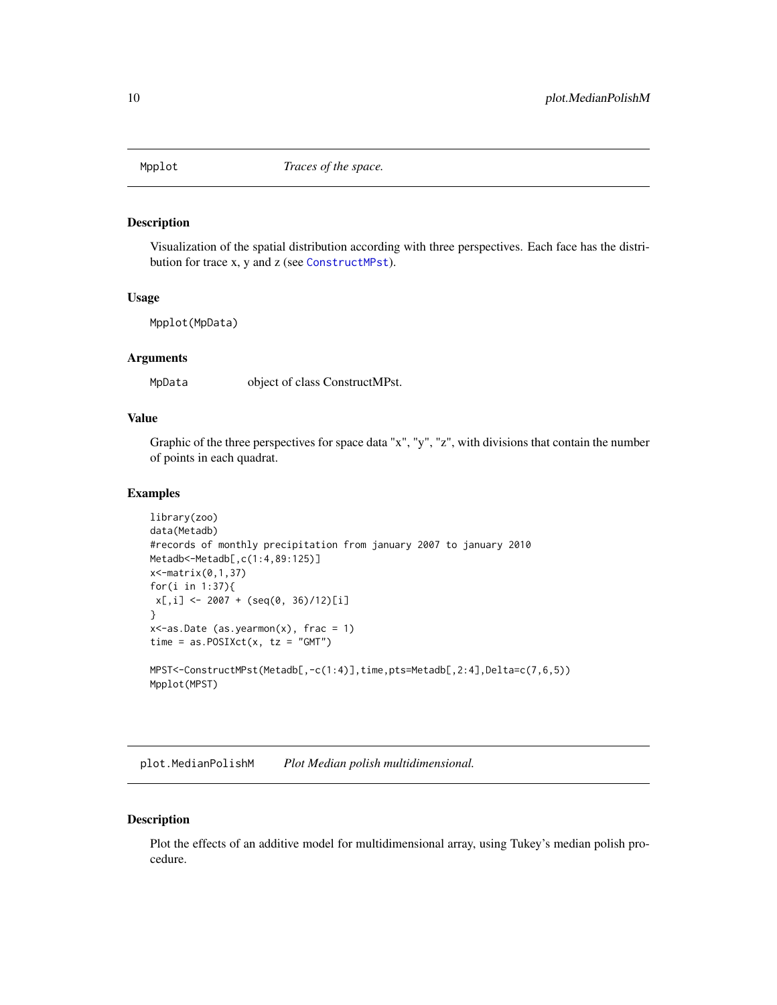<span id="page-9-0"></span>

# Description

Visualization of the spatial distribution according with three perspectives. Each face has the distribution for trace x, y and z (see [ConstructMPst](#page-1-1)).

#### Usage

Mpplot(MpData)

#### Arguments

MpData object of class ConstructMPst.

# Value

Graphic of the three perspectives for space data "x", "y", "z", with divisions that contain the number of points in each quadrat.

#### Examples

```
library(zoo)
data(Metadb)
#records of monthly precipitation from january 2007 to january 2010
Metadb<-Metadb[,c(1:4,89:125)]
x<-matrix(0,1,37)
for(i in 1:37){
x[,i] <- 2007 + (seq(0, 36)/12)[i]
}
x <-as.Date (as.yearmon(x), frac = 1)
time = as.POSIXct(x, tz = "GMT")MPST<-ConstructMPst(Metadb[,-c(1:4)],time,pts=Metadb[,2:4],Delta=c(7,6,5))
Mpplot(MPST)
```
<span id="page-9-1"></span>plot.MedianPolishM *Plot Median polish multidimensional.*

# Description

Plot the effects of an additive model for multidimensional array, using Tukey's median polish procedure.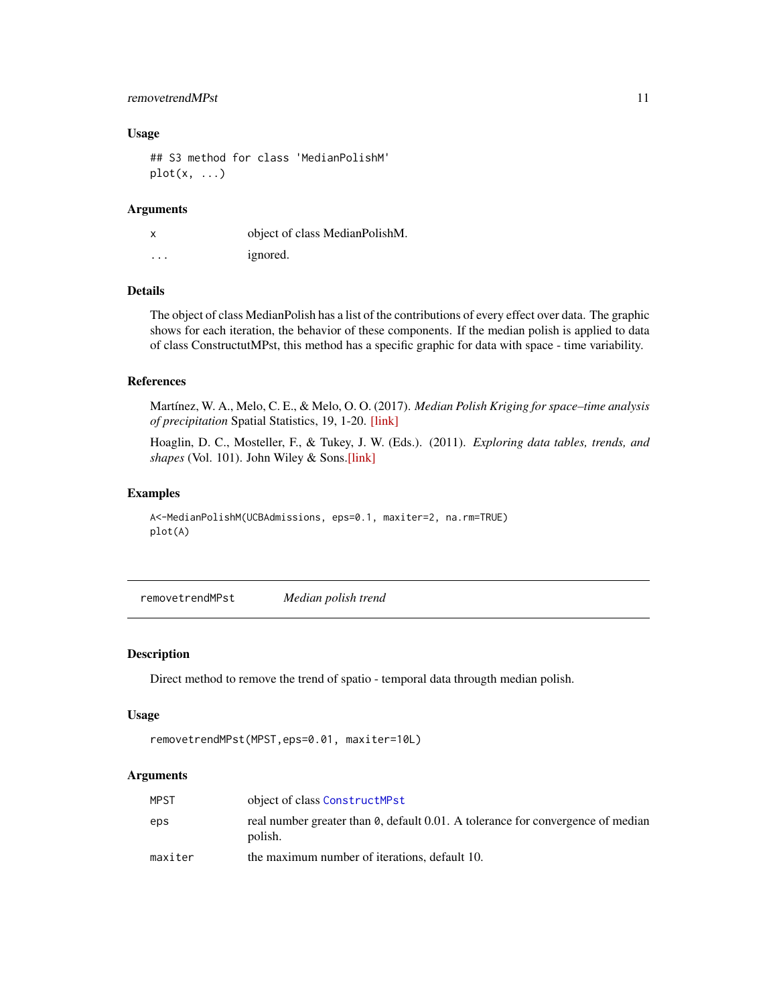# <span id="page-10-0"></span>removetrendMPst 11

#### Usage

## S3 method for class 'MedianPolishM'  $plot(x, \ldots)$ 

# Arguments

| X        | object of class MedianPolishM. |
|----------|--------------------------------|
| $\cdots$ | ignored.                       |

# Details

The object of class MedianPolish has a list of the contributions of every effect over data. The graphic shows for each iteration, the behavior of these components. If the median polish is applied to data of class ConstructutMPst, this method has a specific graphic for data with space - time variability.

#### References

Martínez, W. A., Melo, C. E., & Melo, O. O. (2017). *Median Polish Kriging for space–time analysis of precipitation* Spatial Statistics, 19, 1-20. [\[link\]](http://www.sciencedirect.com/science/article/pii/S2211675316301336)

Hoaglin, D. C., Mosteller, F., & Tukey, J. W. (Eds.). (2011). *Exploring data tables, trends, and shapes* (Vol. 101). John Wiley & Sons[.\[link\]](http://www.wiley.com/WileyCDA/WileyTitle/productCd-047004005X.html)

# Examples

```
A<-MedianPolishM(UCBAdmissions, eps=0.1, maxiter=2, na.rm=TRUE)
plot(A)
```
removetrendMPst *Median polish trend*

#### Description

Direct method to remove the trend of spatio - temporal data througth median polish.

#### Usage

```
removetrendMPst(MPST,eps=0.01, maxiter=10L)
```
# Arguments

| MPST    | object of class ConstructMPst                                                              |
|---------|--------------------------------------------------------------------------------------------|
| eps     | real number greater than 0, default 0.01. A tolerance for convergence of median<br>polish. |
| maxiter | the maximum number of iterations, default 10.                                              |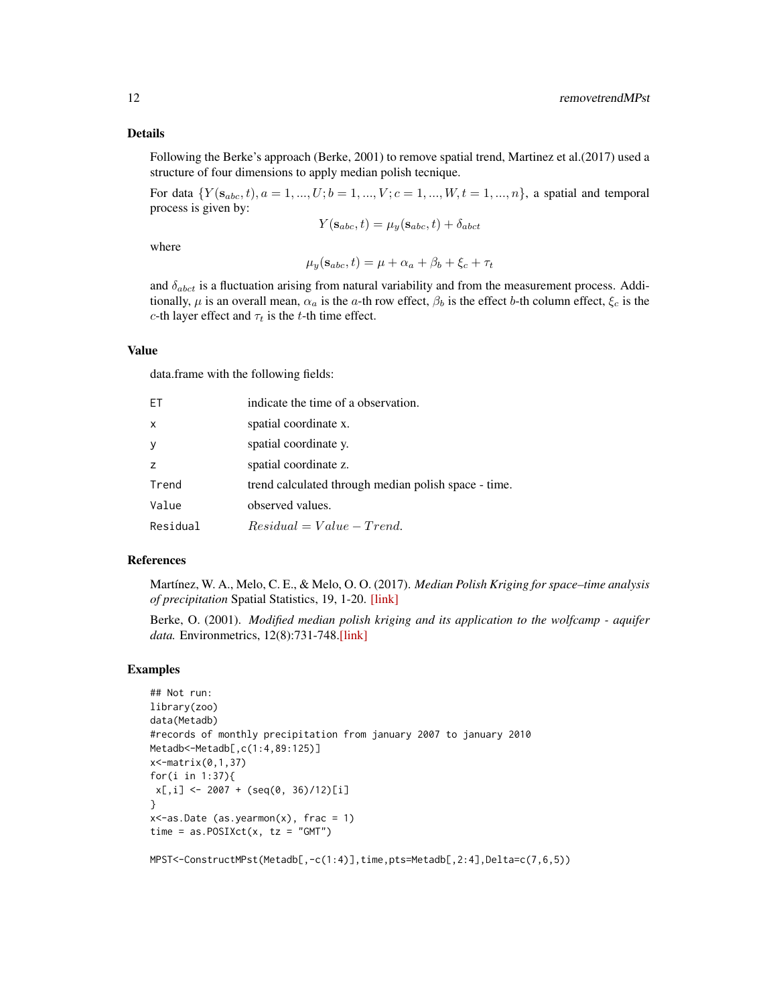Following the Berke's approach (Berke, 2001) to remove spatial trend, Martinez et al.(2017) used a structure of four dimensions to apply median polish tecnique.

For data  $\{Y(\mathbf{s}_{abc}, t), a = 1, ..., U; b = 1, ..., V; c = 1, ..., W, t = 1, ..., n\}$ , a spatial and temporal process is given by:

$$
Y(\mathbf{s}_{abc}, t) = \mu_y(\mathbf{s}_{abc}, t) + \delta_{abct}
$$

where

 $\mu_y(\mathbf{s}_{abc}, t) = \mu + \alpha_a + \beta_b + \xi_c + \tau_t$ 

and  $\delta_{abct}$  is a fluctuation arising from natural variability and from the measurement process. Additionally,  $\mu$  is an overall mean,  $\alpha_a$  is the a-th row effect,  $\beta_b$  is the effect b-th column effect,  $\xi_c$  is the c-th layer effect and  $\tau_t$  is the t-th time effect.

# Value

data.frame with the following fields:

| ET           | indicate the time of a observation.                  |
|--------------|------------------------------------------------------|
| $\mathsf{x}$ | spatial coordinate x.                                |
| y            | spatial coordinate y.                                |
| z            | spatial coordinate z.                                |
| Trend        | trend calculated through median polish space - time. |
| Value        | observed values.                                     |
| Residual     | $Residual = Value - Trend.$                          |

## References

Martínez, W. A., Melo, C. E., & Melo, O. O. (2017). *Median Polish Kriging for space–time analysis of precipitation* Spatial Statistics, 19, 1-20. [\[link\]](http://www.sciencedirect.com/science/article/pii/S2211675316301336)

Berke, O. (2001). *Modified median polish kriging and its application to the wolfcamp - aquifer data.* Environmetrics, 12(8):731-748[.\[link\]](http://onlinelibrary.wiley.com/doi/10.1002/env.495/abstract)

# Examples

```
## Not run:
library(zoo)
data(Metadb)
#records of monthly precipitation from january 2007 to january 2010
Metadb<-Metadb[,c(1:4,89:125)]
x<-matrix(0,1,37)
for(i in 1:37){
x[,i] <- 2007 + (seq(0, 36)/12)[i]
}
x <-as.Date (as.yearmon(x), frac = 1)
time = as.POSIXct(x, tz = "GMT")
```
MPST<-ConstructMPst(Metadb[,-c(1:4)],time,pts=Metadb[,2:4],Delta=c(7,6,5))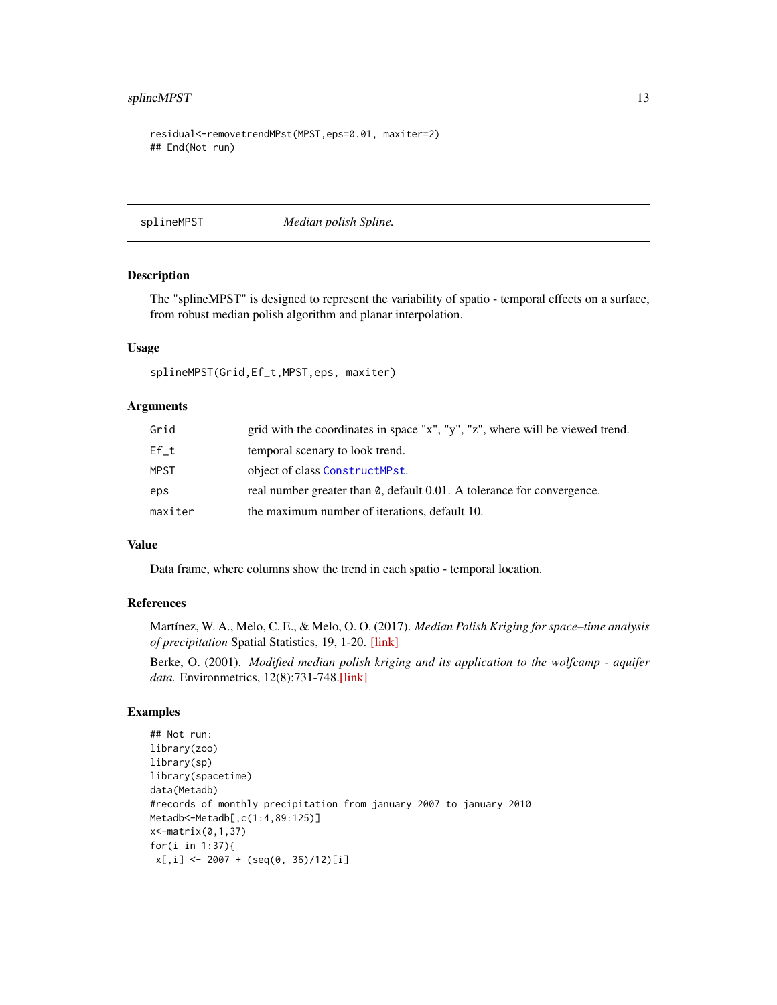# <span id="page-12-0"></span>splineMPST 13

```
residual<-removetrendMPst(MPST,eps=0.01, maxiter=2)
## End(Not run)
```
splineMPST *Median polish Spline.*

# Description

The "splineMPST" is designed to represent the variability of spatio - temporal effects on a surface, from robust median polish algorithm and planar interpolation.

### Usage

```
splineMPST(Grid,Ef_t,MPST,eps, maxiter)
```
# Arguments

| Grid        | grid with the coordinates in space "x", "y", "z", where will be viewed trend.  |
|-------------|--------------------------------------------------------------------------------|
| Ef t        | temporal scenary to look trend.                                                |
| <b>MPST</b> | object of class ConstructMPst.                                                 |
| eps         | real number greater than $\theta$ , default 0.01. A tolerance for convergence. |
| maxiter     | the maximum number of iterations, default 10.                                  |

# Value

Data frame, where columns show the trend in each spatio - temporal location.

# References

Martínez, W. A., Melo, C. E., & Melo, O. O. (2017). *Median Polish Kriging for space–time analysis of precipitation* Spatial Statistics, 19, 1-20. [\[link\]](http://www.sciencedirect.com/science/article/pii/S2211675316301336)

Berke, O. (2001). *Modified median polish kriging and its application to the wolfcamp - aquifer data.* Environmetrics, 12(8):731-748[.\[link\]](http://onlinelibrary.wiley.com/doi/10.1002/env.495/abstract)

```
## Not run:
library(zoo)
library(sp)
library(spacetime)
data(Metadb)
#records of monthly precipitation from january 2007 to january 2010
Metadb<-Metadb[,c(1:4,89:125)]
x<-matrix(0,1,37)
for(i in 1:37){
x[,i] <- 2007 + (seq(0, 36)/12)[i]
```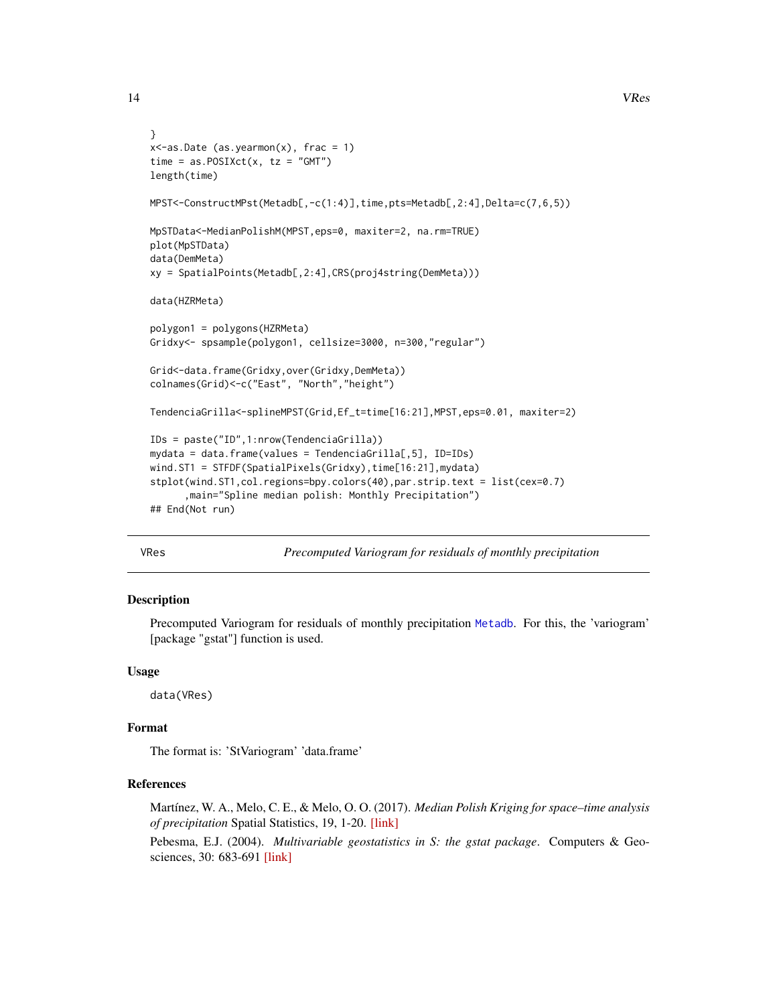```
}
x <-as.Date (as.yearmon(x), frac = 1)
time = as.POSIXct(x, tz = "GMT")length(time)
MPST<-ConstructMPst(Metadb[,-c(1:4)],time,pts=Metadb[,2:4],Delta=c(7,6,5))
MpSTData<-MedianPolishM(MPST,eps=0, maxiter=2, na.rm=TRUE)
plot(MpSTData)
data(DemMeta)
xy = SpatialPoints(Metadb[,2:4],CRS(proj4string(DemMeta)))
data(HZRMeta)
polygon1 = polygons(HZRMeta)
Gridxy<- spsample(polygon1, cellsize=3000, n=300,"regular")
Grid<-data.frame(Gridxy,over(Gridxy,DemMeta))
colnames(Grid)<-c("East", "North","height")
TendenciaGrilla<-splineMPST(Grid,Ef_t=time[16:21],MPST,eps=0.01, maxiter=2)
IDs = paste("ID",1:nrow(TendenciaGrilla))
mydata = data.frame(values = TendenciaGrilla[,5], ID=IDs)
wind.ST1 = STFDF(SpatialPixels(Gridxy),time[16:21],mydata)
stplot(wind.ST1,col.regions=bpy.colors(40),par.strip.text = list(cex=0.7)
      ,main="Spline median polish: Monthly Precipitation")
## End(Not run)
```
VRes *Precomputed Variogram for residuals of monthly precipitation*

# Description

Precomputed Variogram for residuals of monthly precipitation [Metadb](#page-8-1). For this, the 'variogram' [package "gstat"] function is used.

#### Usage

data(VRes)

# Format

The format is: 'StVariogram' 'data.frame'

# References

Martínez, W. A., Melo, C. E., & Melo, O. O. (2017). *Median Polish Kriging for space–time analysis of precipitation* Spatial Statistics, 19, 1-20. [\[link\]](http://www.sciencedirect.com/science/article/pii/S2211675316301336)

Pebesma, E.J. (2004). *Multivariable geostatistics in S: the gstat package*. Computers & Geosciences, 30: 683-691 [\[link\]](https://CRAN.R-project.org/package=gstat)

<span id="page-13-0"></span>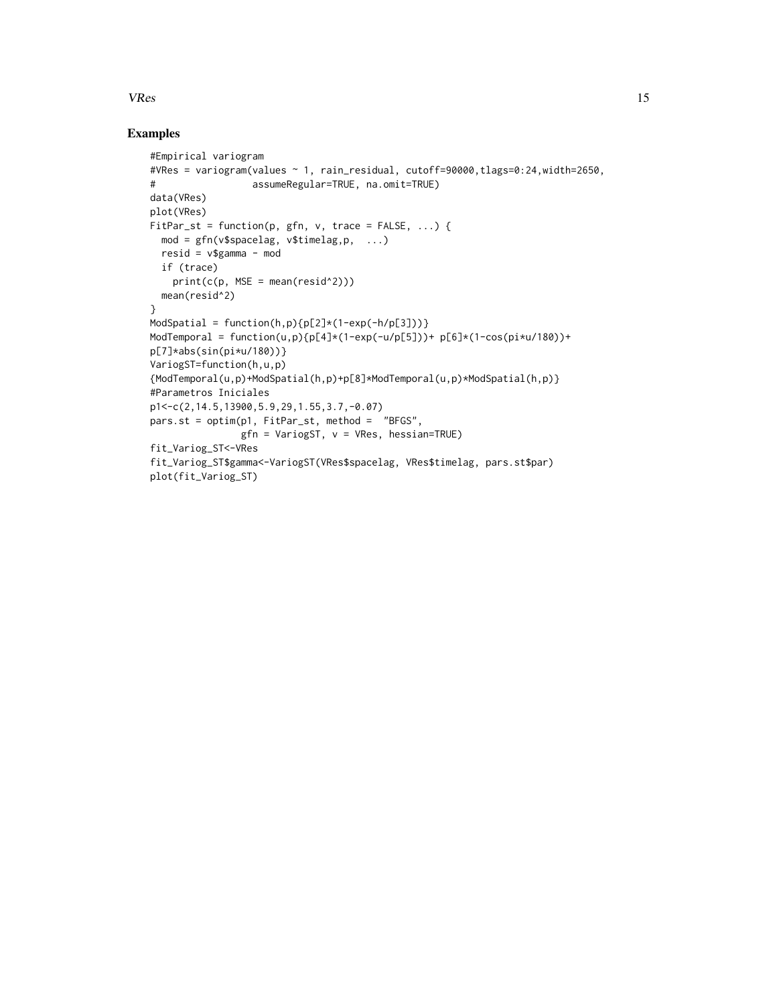# $V$ Res  $15$

```
#Empirical variogram
#VRes = variogram(values ~ 1, rain_residual, cutoff=90000,tlags=0:24,width=2650,
# assumeRegular=TRUE, na.omit=TRUE)
data(VRes)
plot(VRes)
FitPar\_st = function(p, gfn, v, trace = FALSE, ...)mod = gfn(v$spacelag, v$timelag,p, ...)
  resid = v$gamma - mod
  if (trace)
   print(c(p, MSE = mean(resid^2)))mean(resid^2)
}
ModSpatial = function(h,p){p[2]*(1-exp(-h/p[3]))}
ModTemporal = function(u,p){p[4]*(1-exp(-u/p[5]))+ p[6]*(1-cos(pi*u/180))+
p[7]*abs(sin(pi*u/180))}
VariogST=function(h,u,p)
{ModTemporal(u,p)+ModSpatial(h,p)+p[8]*ModTemporal(u,p)*ModSpatial(h,p)}
#Parametros Iniciales
p1<-c(2,14.5,13900,5.9,29,1.55,3.7,-0.07)
pars.st = optim(p1, FitPar_st, method = "BFGS",
               gfn = VariogST, v = VRes, hessian=TRUE)
fit_Variog_ST<-VRes
fit_Variog_ST$gamma<-VariogST(VRes$spacelag, VRes$timelag, pars.st$par)
plot(fit_Variog_ST)
```